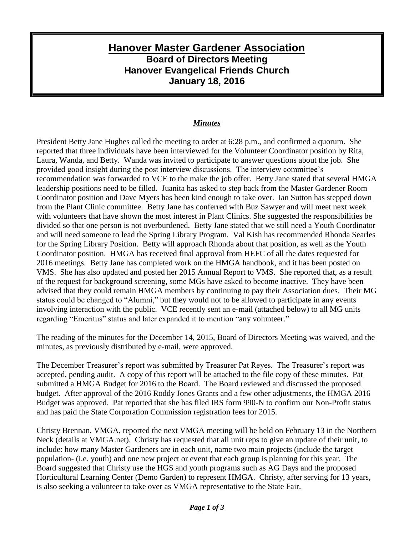## **Hanover Master Gardener Association Board of Directors Meeting Hanover Evangelical Friends Church January 18, 2016**

## *Minutes*

President Betty Jane Hughes called the meeting to order at 6:28 p.m., and confirmed a quorum. She reported that three individuals have been interviewed for the Volunteer Coordinator position by Rita, Laura, Wanda, and Betty. Wanda was invited to participate to answer questions about the job. She provided good insight during the post interview discussions. The interview committee's recommendation was forwarded to VCE to the make the job offer. Betty Jane stated that several HMGA leadership positions need to be filled. Juanita has asked to step back from the Master Gardener Room Coordinator position and Dave Myers has been kind enough to take over. Ian Sutton has stepped down from the Plant Clinic committee. Betty Jane has conferred with Buz Sawyer and will meet next week with volunteers that have shown the most interest in Plant Clinics. She suggested the responsibilities be divided so that one person is not overburdened. Betty Jane stated that we still need a Youth Coordinator and will need someone to lead the Spring Library Program. Val Kish has recommended Rhonda Searles for the Spring Library Position. Betty will approach Rhonda about that position, as well as the Youth Coordinator position. HMGA has received final approval from HEFC of all the dates requested for 2016 meetings. Betty Jane has completed work on the HMGA handbook, and it has been posted on VMS. She has also updated and posted her 2015 Annual Report to VMS. She reported that, as a result of the request for background screening, some MGs have asked to become inactive. They have been advised that they could remain HMGA members by continuing to pay their Association dues. Their MG status could be changed to "Alumni," but they would not to be allowed to participate in any events involving interaction with the public. VCE recently sent an e-mail (attached below) to all MG units regarding "Emeritus" status and later expanded it to mention "any volunteer."

The reading of the minutes for the December 14, 2015, Board of Directors Meeting was waived, and the minutes, as previously distributed by e-mail, were approved.

The December Treasurer's report was submitted by Treasurer Pat Reyes. The Treasurer's report was accepted, pending audit. A copy of this report will be attached to the file copy of these minutes. Pat submitted a HMGA Budget for 2016 to the Board. The Board reviewed and discussed the proposed budget. After approval of the 2016 Roddy Jones Grants and a few other adjustments, the HMGA 2016 Budget was approved. Pat reported that she has filed IRS form 990-N to confirm our Non-Profit status and has paid the State Corporation Commission registration fees for 2015.

Christy Brennan, VMGA, reported the next VMGA meeting will be held on February 13 in the Northern Neck (details at VMGA.net). Christy has requested that all unit reps to give an update of their unit, to include: how many Master Gardeners are in each unit, name two main projects (include the target population- (i.e. youth) and one new project or event that each group is planning for this year. The Board suggested that Christy use the HGS and youth programs such as AG Days and the proposed Horticultural Learning Center (Demo Garden) to represent HMGA. Christy, after serving for 13 years, is also seeking a volunteer to take over as VMGA representative to the State Fair.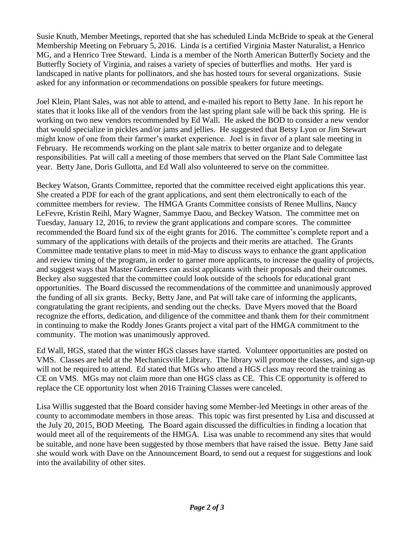Susie Knuth, Member Meetings, reported that she has scheduled Linda McBride to speak at the General Membership Meeting on February 5, 2016. Linda is a certified Virginia Master Naturalist, a Henrico MG, and a Henrico Tree Steward. Linda is a member of the North American Butterfly Society and the Butterfly Society of Virginia, and raises a variety of species of butterflies and moths. Her yard is landscaped in native plants for pollinators, and she has hosted tours for several organizations. Susie asked for any information or recommendations on possible speakers for future meetings.

Joel Klein, Plant Sales, was not able to attend, and e-mailed his report to Betty Jane. In his report he states that it looks like all of the vendors from the last spring plant sale will be back this spring. He is working on two new vendors recommended by Ed Wall. He asked the BOD to consider a new vendor that would specialize in pickles and/or jams and jellies. He suggested that Betsy Lyon or Jim Stewart might know of one from their farmer's market experience. Joel is in favor of a plant sale meeting in February. He recommends working on the plant sale matrix to better organize and to delegate responsibilities. Pat will call a meeting of those members that served on the Plant Sale Committee last year. Betty Jane, Doris Gullotta, and Ed Wall also volunteered to serve on the committee.

Beckey Watson, Grants Committee, reported that the committee received eight applications this year. She created a PDF for each of the grant applications, and sent them electronically to each of the committee members for review. The HMGA Grants Committee consists of Renee Mullins, Nancy LeFevre, Kristin Reihl, Mary Wagner, Sammye Daou, and Beckey Watson. The committee met on Tuesday, January 12, 2016, to review the grant applications and compare scores. The committee recommended the Board fund six of the eight grants for 2016. The committee's complete report and a summary of the applications with details of the projects and their merits are attached. The Grants Committee made tentative plans to meet in mid-May to discuss ways to enhance the grant application and review timing of the program, in order to garner more applicants, to increase the quality of projects, and suggest ways that Master Gardeners can assist applicants with their proposals and their outcomes. Beckey also suggested that the committee could look outside of the schools for educational grant opportunities. The Board discussed the recommendations of the committee and unanimously approved the funding of all six grants. Becky, Betty Jane, and Pat will take care of informing the applicants, congratulating the grant recipients, and sending out the checks. Dave Myers moved that the Board recognize the efforts, dedication, and diligence of the committee and thank them for their commitment in continuing to make the Roddy Jones Grants project a vital part of the HMGA commitment to the community. The motion was unanimously approved.

Ed Wall, HGS, stated that the winter HGS classes have started. Volunteer opportunities are posted on VMS. Classes are held at the Mechanicsville Library. The library will promote the classes, and sign-up will not be required to attend. Ed stated that MGs who attend a HGS class may record the training as CE on VMS. MGs may not claim more than one HGS class as CE. This CE opportunity is offered to replace the CE opportunity lost when 2016 Training Classes were canceled.

Lisa Willis suggested that the Board consider having some Member-led Meetings in other areas of the county to accommodate members in those areas. This topic was first presented by Lisa and discussed at the July 20, 2015, BOD Meeting. The Board again discussed the difficulties in finding a location that would meet all of the requirements of the HMGA. Lisa was unable to recommend any sites that would be suitable, and none have been suggested by those members that have raised the issue. Betty Jane said she would work with Dave on the Announcement Board, to send out a request for suggestions and look into the availability of other sites.